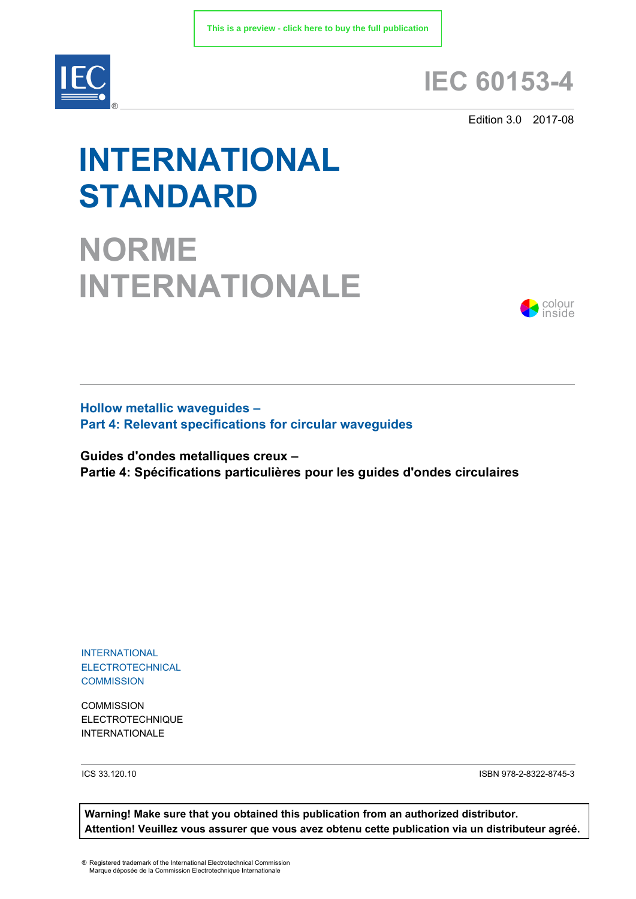

## **IEC 60153-4**

Edition 3.0 2017-08

# **INTERNATIONAL STANDARD**

**NORME INTERNATIONALE**



**Hollow metallic waveguides – Part 4: Relevant specifications for circular waveguides** 

**Guides d'ondes metalliques creux – Partie 4: Spécifications particulières pour les guides d'ondes circulaires**

INTERNATIONAL ELECTROTECHNICAL **COMMISSION** 

**COMMISSION** ELECTROTECHNIQUE INTERNATIONALE

ICS 33.120.10 ISBN 978-2-8322-8745-3

**Warning! Make sure that you obtained this publication from an authorized distributor. Attention! Veuillez vous assurer que vous avez obtenu cette publication via un distributeur agréé.**

® Registered trademark of the International Electrotechnical Commission Marque déposée de la Commission Electrotechnique Internationale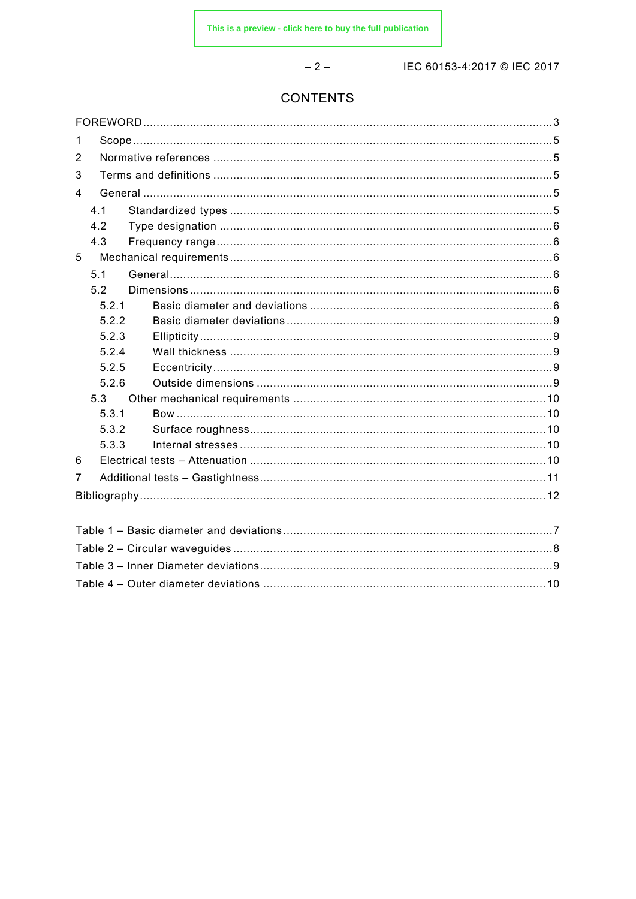$-2-$ 

IEC 60153-4:2017 © IEC 2017

### **CONTENTS**

| 1              |       |  |  |  |  |  |  |
|----------------|-------|--|--|--|--|--|--|
| 2              |       |  |  |  |  |  |  |
| 3              |       |  |  |  |  |  |  |
| $\overline{4}$ |       |  |  |  |  |  |  |
|                | 4.1   |  |  |  |  |  |  |
|                | 4.2   |  |  |  |  |  |  |
|                | 4.3   |  |  |  |  |  |  |
| 5              |       |  |  |  |  |  |  |
|                | 5.1   |  |  |  |  |  |  |
|                | 5.2   |  |  |  |  |  |  |
|                | 5.2.1 |  |  |  |  |  |  |
|                | 5.2.2 |  |  |  |  |  |  |
|                | 5.2.3 |  |  |  |  |  |  |
|                | 5.2.4 |  |  |  |  |  |  |
|                | 5.2.5 |  |  |  |  |  |  |
|                | 5.2.6 |  |  |  |  |  |  |
|                | 5.3   |  |  |  |  |  |  |
|                | 5.3.1 |  |  |  |  |  |  |
|                | 5.3.2 |  |  |  |  |  |  |
|                | 5.3.3 |  |  |  |  |  |  |
| 6              |       |  |  |  |  |  |  |
| $\overline{7}$ |       |  |  |  |  |  |  |
|                |       |  |  |  |  |  |  |
|                |       |  |  |  |  |  |  |
|                |       |  |  |  |  |  |  |
|                |       |  |  |  |  |  |  |
|                |       |  |  |  |  |  |  |
|                |       |  |  |  |  |  |  |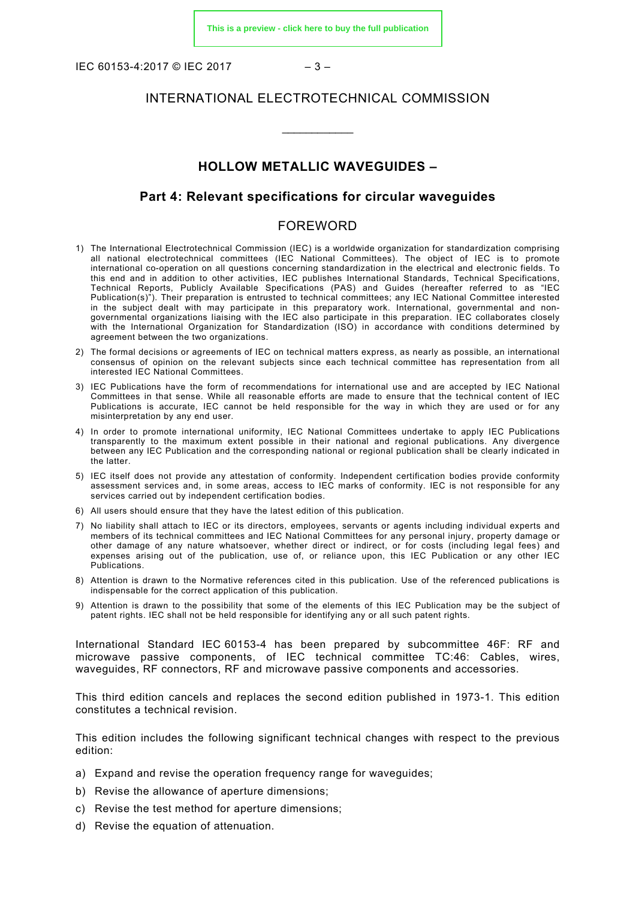IEC 60153-4:2017 © IEC 2017 – 3 –

#### INTERNATIONAL ELECTROTECHNICAL COMMISSION

\_\_\_\_\_\_\_\_\_\_\_\_

#### **HOLLOW METALLIC WAVEGUIDES –**

#### **Part 4: Relevant specifications for circular waveguides**

#### FOREWORD

- <span id="page-2-0"></span>1) The International Electrotechnical Commission (IEC) is a worldwide organization for standardization comprising all national electrotechnical committees (IEC National Committees). The object of IEC is to promote international co-operation on all questions concerning standardization in the electrical and electronic fields. To this end and in addition to other activities, IEC publishes International Standards, Technical Specifications, Technical Reports, Publicly Available Specifications (PAS) and Guides (hereafter referred to as "IEC Publication(s)"). Their preparation is entrusted to technical committees; any IEC National Committee interested in the subject dealt with may participate in this preparatory work. International, governmental and nongovernmental organizations liaising with the IEC also participate in this preparation. IEC collaborates closely with the International Organization for Standardization (ISO) in accordance with conditions determined by agreement between the two organizations.
- 2) The formal decisions or agreements of IEC on technical matters express, as nearly as possible, an international consensus of opinion on the relevant subjects since each technical committee has representation from all interested IEC National Committees.
- 3) IEC Publications have the form of recommendations for international use and are accepted by IEC National Committees in that sense. While all reasonable efforts are made to ensure that the technical content of IEC Publications is accurate, IEC cannot be held responsible for the way in which they are used or for any misinterpretation by any end user.
- 4) In order to promote international uniformity, IEC National Committees undertake to apply IEC Publications transparently to the maximum extent possible in their national and regional publications. Any divergence between any IEC Publication and the corresponding national or regional publication shall be clearly indicated in the latter.
- 5) IEC itself does not provide any attestation of conformity. Independent certification bodies provide conformity assessment services and, in some areas, access to IEC marks of conformity. IEC is not responsible for any services carried out by independent certification bodies.
- 6) All users should ensure that they have the latest edition of this publication.
- 7) No liability shall attach to IEC or its directors, employees, servants or agents including individual experts and members of its technical committees and IEC National Committees for any personal injury, property damage or other damage of any nature whatsoever, whether direct or indirect, or for costs (including legal fees) and expenses arising out of the publication, use of, or reliance upon, this IEC Publication or any other IEC Publications.
- 8) Attention is drawn to the Normative references cited in this publication. Use of the referenced publications is indispensable for the correct application of this publication.
- 9) Attention is drawn to the possibility that some of the elements of this IEC Publication may be the subject of patent rights. IEC shall not be held responsible for identifying any or all such patent rights.

International Standard IEC 60153-4 has been prepared by subcommittee 46F: RF and microwave passive components, of IEC technical committee TC:46: Cables, wires, waveguides, RF connectors, RF and microwave passive components and accessories.

This third edition cancels and replaces the second edition published in 1973-1. This edition constitutes a technical revision.

This edition includes the following significant technical changes with respect to the previous edition:

- a) Expand and revise the operation frequency range for waveguides;
- b) Revise the allowance of aperture dimensions;
- c) Revise the test method for aperture dimensions;
- d) Revise the equation of attenuation.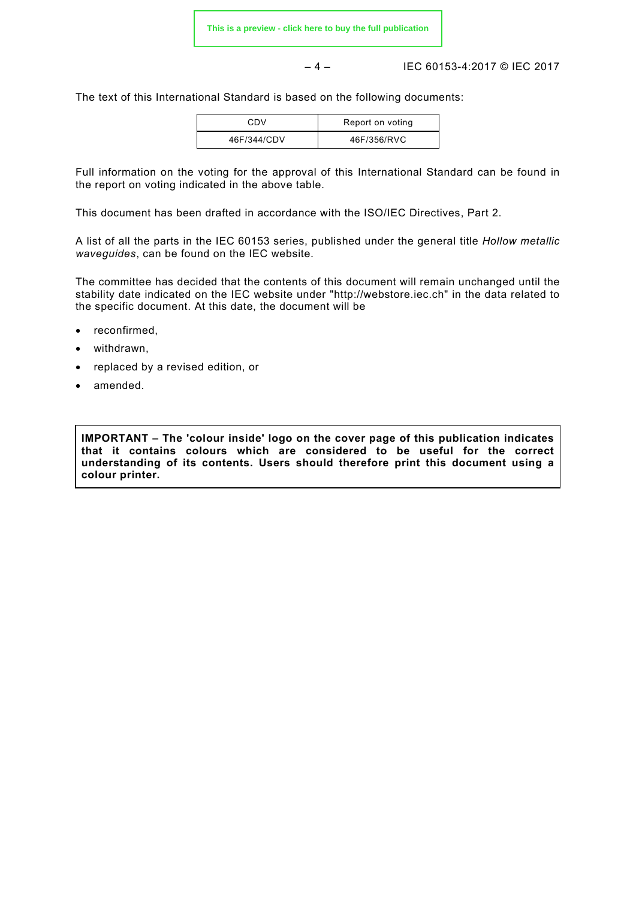– 4 – IEC 60153-4:2017 © IEC 2017

The text of this International Standard is based on the following documents:

| CDV         | Report on voting |
|-------------|------------------|
| 46F/344/CDV | 46F/356/RVC      |

Full information on the voting for the approval of this International Standard can be found in the report on voting indicated in the above table.

This document has been drafted in accordance with the ISO/IEC Directives, Part 2.

A list of all the parts in the IEC 60153 series, published under the general title *Hollow metallic waveguides*, can be found on the IEC website.

The committee has decided that the contents of this document will remain unchanged until the stability date indicated on the IEC website under "http://webstore.iec.ch" in the data related to the specific document. At this date, the document will be

- reconfirmed,
- withdrawn,
- replaced by a revised edition, or
- amended.

**IMPORTANT – The 'colour inside' logo on the cover page of this publication indicates that it contains colours which are considered to be useful for the correct understanding of its contents. Users should therefore print this document using a colour printer.**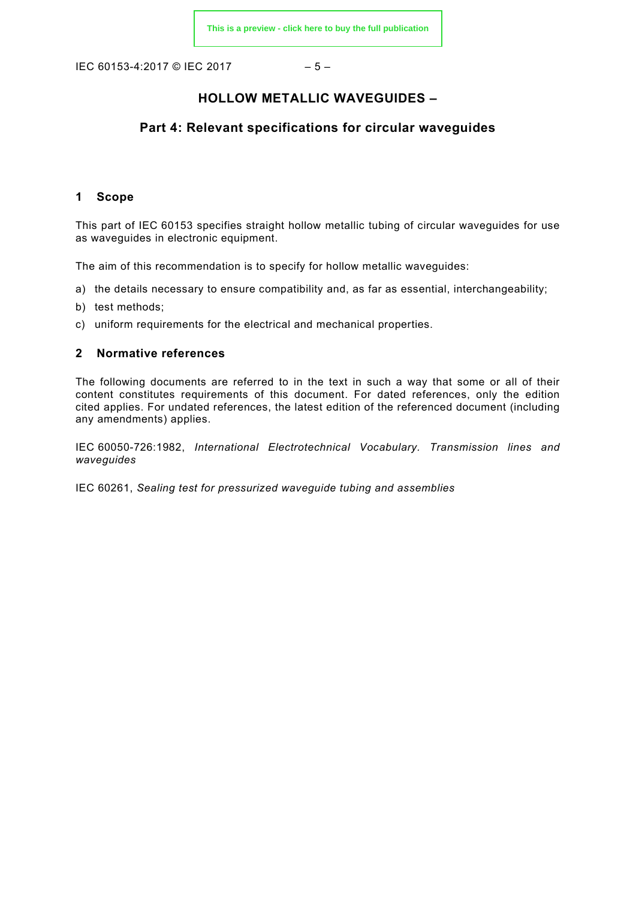IEC 60153-4:2017 © IEC 2017 – 5 –

#### **HOLLOW METALLIC WAVEGUIDES –**

#### **Part 4: Relevant specifications for circular waveguides**

#### <span id="page-4-0"></span>**1 Scope**

This part of IEC 60153 specifies straight hollow metallic tubing of circular waveguides for use as waveguides in electronic equipment.

The aim of this recommendation is to specify for hollow metallic waveguides:

- a) the details necessary to ensure compatibility and, as far as essential, interchangeability;
- b) test methods;
- c) uniform requirements for the electrical and mechanical properties.

#### <span id="page-4-1"></span>**2 Normative references**

The following documents are referred to in the text in such a way that some or all of their content constitutes requirements of this document. For dated references, only the edition cited applies. For undated references, the latest edition of the referenced document (including any amendments) applies.

IEC 60050-726:1982, *International Electrotechnical Vocabulary. Transmission lines and waveguides*

<span id="page-4-4"></span><span id="page-4-3"></span><span id="page-4-2"></span>IEC 60261, *Sealing test for pressurized waveguide tubing and assemblies*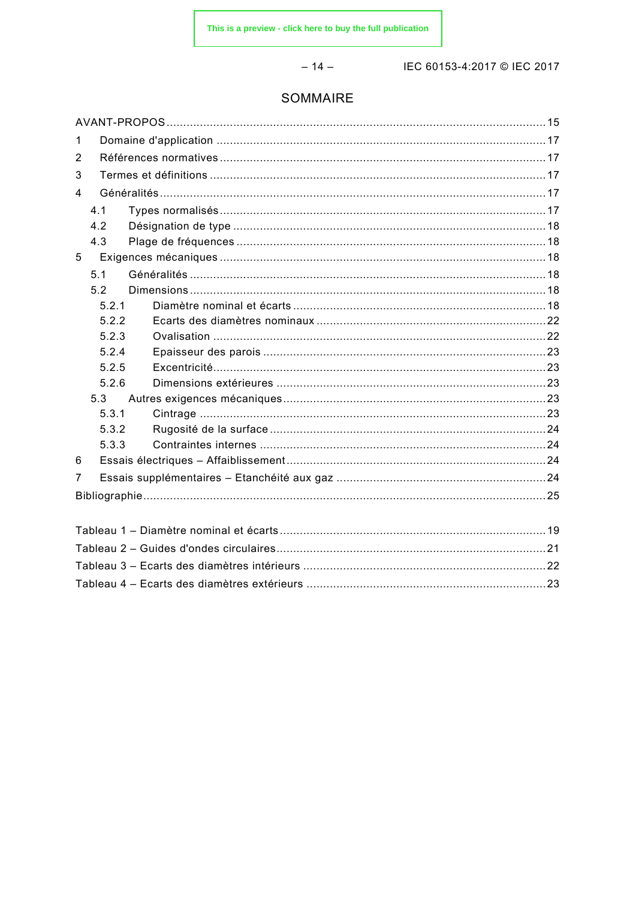$-14-$ 

IEC 60153-4:2017 © IEC 2017

### SOMMAIRE

| 1 |       |  |  |  |  |  |
|---|-------|--|--|--|--|--|
| 2 |       |  |  |  |  |  |
| 3 |       |  |  |  |  |  |
| 4 |       |  |  |  |  |  |
|   | 4.1   |  |  |  |  |  |
|   | 4.2   |  |  |  |  |  |
|   | 4.3   |  |  |  |  |  |
| 5 |       |  |  |  |  |  |
|   | 5.1   |  |  |  |  |  |
|   | 5.2   |  |  |  |  |  |
|   | 5.2.1 |  |  |  |  |  |
|   | 5.2.2 |  |  |  |  |  |
|   | 5.2.3 |  |  |  |  |  |
|   | 5.2.4 |  |  |  |  |  |
|   | 5.2.5 |  |  |  |  |  |
|   | 5.2.6 |  |  |  |  |  |
|   | 5.3   |  |  |  |  |  |
|   | 5.3.1 |  |  |  |  |  |
|   | 5.3.2 |  |  |  |  |  |
|   | 5.3.3 |  |  |  |  |  |
| 6 |       |  |  |  |  |  |
| 7 |       |  |  |  |  |  |
|   |       |  |  |  |  |  |
|   |       |  |  |  |  |  |
|   |       |  |  |  |  |  |
|   |       |  |  |  |  |  |
|   |       |  |  |  |  |  |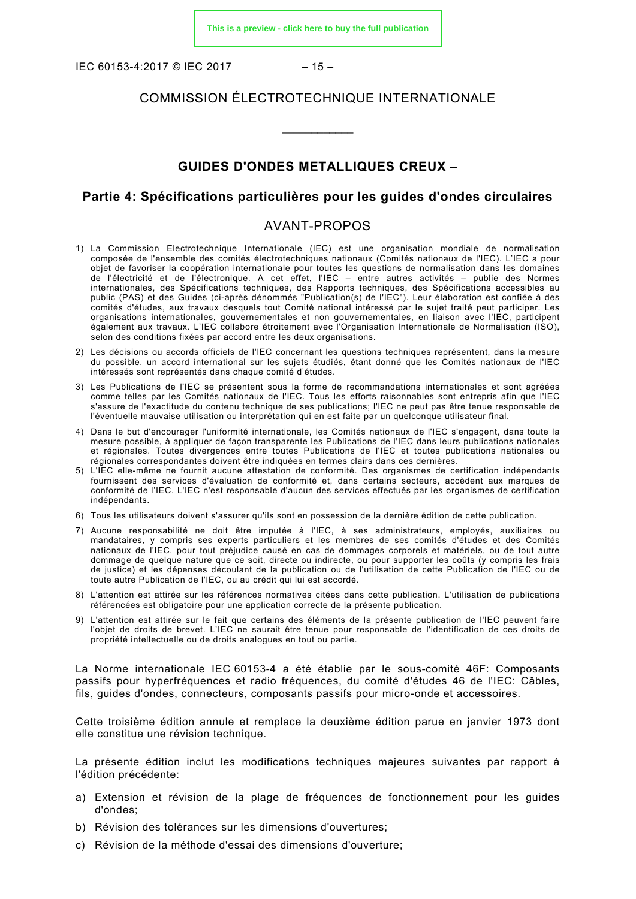IEC 60153-4:2017 © IEC 2017 – 15 –

#### COMMISSION ÉLECTROTECHNIQUE INTERNATIONALE

\_\_\_\_\_\_\_\_\_\_\_\_

#### **GUIDES D'ONDES METALLIQUES CREUX –**

#### **Partie 4: Spécifications particulières pour les guides d'ondes circulaires**

#### AVANT-PROPOS

- <span id="page-6-0"></span>1) La Commission Electrotechnique Internationale (IEC) est une organisation mondiale de normalisation composée de l'ensemble des comités électrotechniques nationaux (Comités nationaux de l'IEC). L'IEC a pour objet de favoriser la coopération internationale pour toutes les questions de normalisation dans les domaines de l'électricité et de l'électronique. A cet effet, l'IEC – entre autres activités – publie des Normes internationales, des Spécifications techniques, des Rapports techniques, des Spécifications accessibles au public (PAS) et des Guides (ci-après dénommés "Publication(s) de l'IEC"). Leur élaboration est confiée à des comités d'études, aux travaux desquels tout Comité national intéressé par le sujet traité peut participer. Les organisations internationales, gouvernementales et non gouvernementales, en liaison avec l'IEC, participent également aux travaux. L'IEC collabore étroitement avec l'Organisation Internationale de Normalisation (ISO), selon des conditions fixées par accord entre les deux organisations.
- 2) Les décisions ou accords officiels de l'IEC concernant les questions techniques représentent, dans la mesure du possible, un accord international sur les sujets étudiés, étant donné que les Comités nationaux de l'IEC intéressés sont représentés dans chaque comité d'études.
- 3) Les Publications de l'IEC se présentent sous la forme de recommandations internationales et sont agréées comme telles par les Comités nationaux de l'IEC. Tous les efforts raisonnables sont entrepris afin que l'IEC s'assure de l'exactitude du contenu technique de ses publications; l'IEC ne peut pas être tenue responsable de l'éventuelle mauvaise utilisation ou interprétation qui en est faite par un quelconque utilisateur final.
- 4) Dans le but d'encourager l'uniformité internationale, les Comités nationaux de l'IEC s'engagent, dans toute la mesure possible, à appliquer de façon transparente les Publications de l'IEC dans leurs publications nationales et régionales. Toutes divergences entre toutes Publications de l'IEC et toutes publications nationales ou régionales correspondantes doivent être indiquées en termes clairs dans ces dernières.
- 5) L'IEC elle-même ne fournit aucune attestation de conformité. Des organismes de certification indépendants fournissent des services d'évaluation de conformité et, dans certains secteurs, accèdent aux marques de conformité de l'IEC. L'IEC n'est responsable d'aucun des services effectués par les organismes de certification indépendants.
- 6) Tous les utilisateurs doivent s'assurer qu'ils sont en possession de la dernière édition de cette publication.
- 7) Aucune responsabilité ne doit être imputée à l'IEC, à ses administrateurs, employés, auxiliaires ou mandataires, y compris ses experts particuliers et les membres de ses comités d'études et des Comités nationaux de l'IEC, pour tout préjudice causé en cas de dommages corporels et matériels, ou de tout autre dommage de quelque nature que ce soit, directe ou indirecte, ou pour supporter les coûts (y compris les frais de justice) et les dépenses découlant de la publication ou de l'utilisation de cette Publication de l'IEC ou de toute autre Publication de l'IEC, ou au crédit qui lui est accordé.
- 8) L'attention est attirée sur les références normatives citées dans cette publication. L'utilisation de publications référencées est obligatoire pour une application correcte de la présente publication.
- 9) L'attention est attirée sur le fait que certains des éléments de la présente publication de l'IEC peuvent faire l'objet de droits de brevet. L'IEC ne saurait être tenue pour responsable de l'identification de ces droits de propriété intellectuelle ou de droits analogues en tout ou partie.

La Norme internationale IEC 60153-4 a été établie par le sous-comité 46F: Composants passifs pour hyperfréquences et radio fréquences, du comité d'études 46 de l'IEC: Câbles, fils, guides d'ondes, connecteurs, composants passifs pour micro-onde et accessoires.

Cette troisième édition annule et remplace la deuxième édition parue en janvier 1973 dont elle constitue une révision technique.

La présente édition inclut les modifications techniques majeures suivantes par rapport à l'édition précédente:

- a) Extension et révision de la plage de fréquences de fonctionnement pour les guides d'ondes;
- b) Révision des tolérances sur les dimensions d'ouvertures;
- c) Révision de la méthode d'essai des dimensions d'ouverture;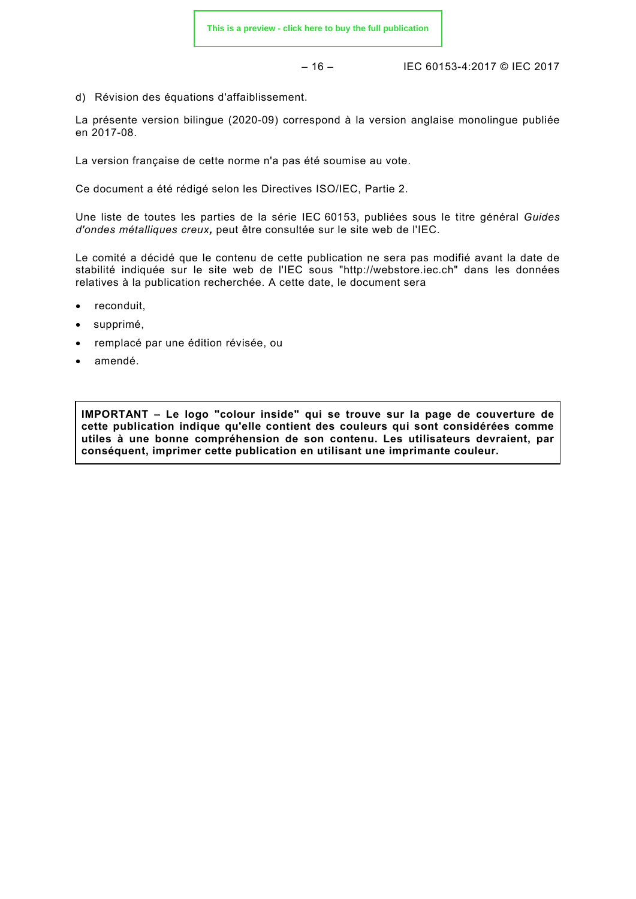– 16 – IEC 60153-4:2017 © IEC 2017

d) Révision des équations d'affaiblissement.

La présente version bilingue (2020-09) correspond à la version anglaise monolingue publiée en 2017-08.

La version française de cette norme n'a pas été soumise au vote.

Ce document a été rédigé selon les Directives ISO/IEC, Partie 2.

Une liste de toutes les parties de la série IEC 60153, publiées sous le titre général *Guides d'ondes métalliques creux,* peut être consultée sur le site web de l'IEC.

Le comité a décidé que le contenu de cette publication ne sera pas modifié avant la date de stabilité indiquée sur le site web de l'IEC sous "http://webstore.iec.ch" dans les données relatives à la publication recherchée. A cette date, le document sera

- reconduit,
- supprimé,
- remplacé par une édition révisée, ou
- amendé.

**IMPORTANT – Le logo "colour inside" qui se trouve sur la page de couverture de cette publication indique qu'elle contient des couleurs qui sont considérées comme utiles à une bonne compréhension de son contenu. Les utilisateurs devraient, par conséquent, imprimer cette publication en utilisant une imprimante couleur.**